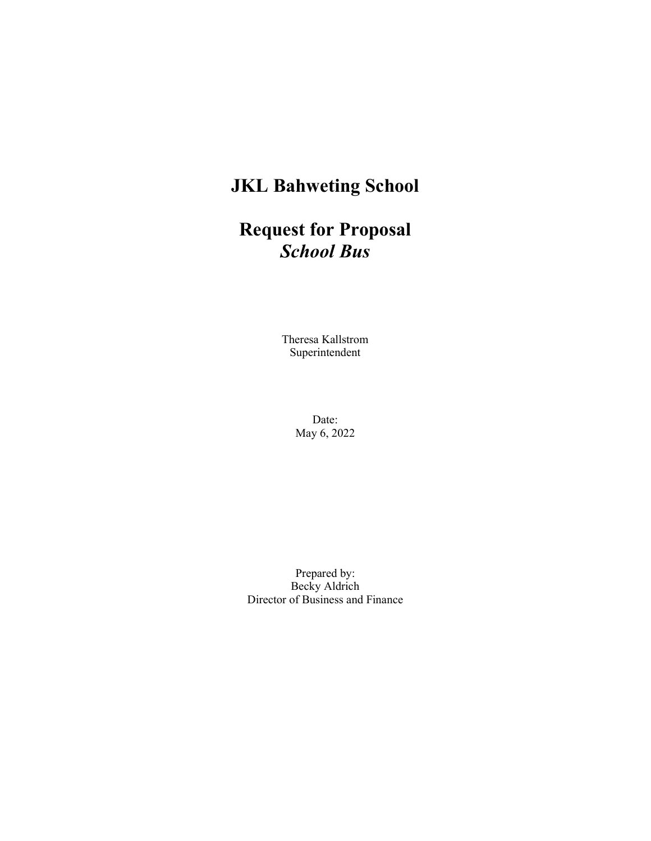# JKL Bahweting School

# Request for Proposal School Bus

Theresa Kallstrom Superintendent

> Date: May 6, 2022

Prepared by: Becky Aldrich Director of Business and Finance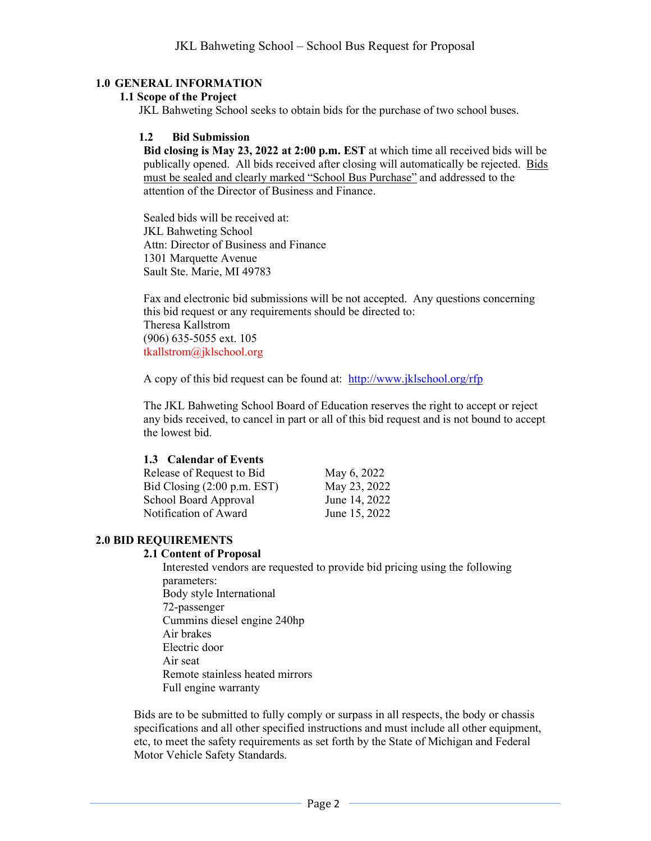#### 1.0 GENERAL INFORMATION

#### 1.1 Scope of the Project

JKL Bahweting School seeks to obtain bids for the purchase of two school buses.

#### 1.2 Bid Submission

Bid closing is May 23, 2022 at 2:00 p.m. EST at which time all received bids will be publically opened. All bids received after closing will automatically be rejected. Bids must be sealed and clearly marked "School Bus Purchase" and addressed to the attention of the Director of Business and Finance.

Sealed bids will be received at: JKL Bahweting School Attn: Director of Business and Finance 1301 Marquette Avenue Sault Ste. Marie, MI 49783

Fax and electronic bid submissions will be not accepted. Any questions concerning this bid request or any requirements should be directed to: Theresa Kallstrom (906) 635-5055 ext. 105 tkallstrom@jklschool.org

A copy of this bid request can be found at: http://www.jklschool.org/rfp

The JKL Bahweting School Board of Education reserves the right to accept or reject any bids received, to cancel in part or all of this bid request and is not bound to accept the lowest bid.

#### 1.3 Calendar of Events

Release of Request to Bid May 6, 2022 Bid Closing (2:00 p.m. EST) May 23, 2022 School Board Approval June 14, 2022 Notification of Award June 15, 2022

#### 2.0 BID REQUIREMENTS

#### 2.1 Content of Proposal

Interested vendors are requested to provide bid pricing using the following parameters: Body style International 72-passenger Cummins diesel engine 240hp Air brakes Electric door Air seat Remote stainless heated mirrors Full engine warranty

Bids are to be submitted to fully comply or surpass in all respects, the body or chassis specifications and all other specified instructions and must include all other equipment, etc, to meet the safety requirements as set forth by the State of Michigan and Federal Motor Vehicle Safety Standards.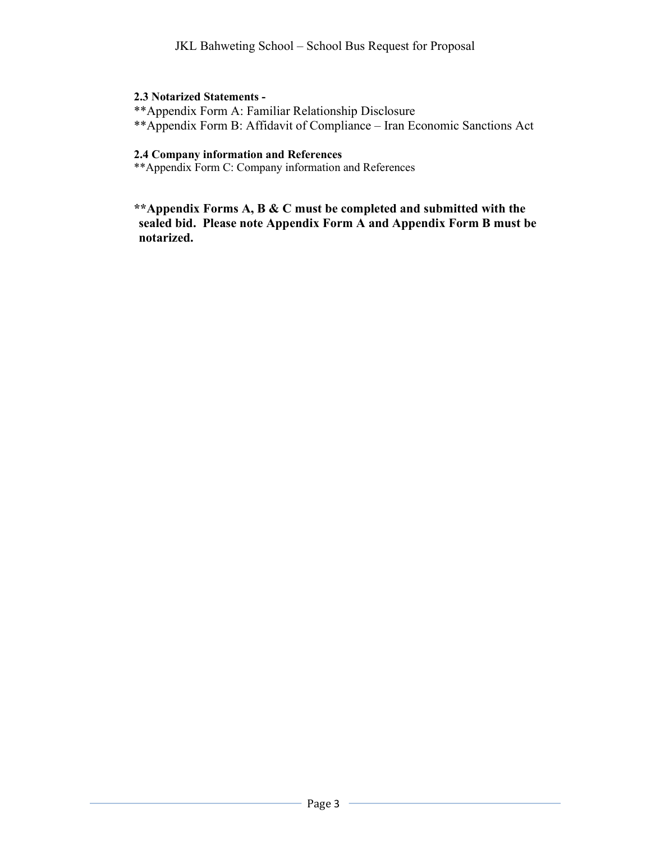### 2.3 Notarized Statements -

\*\*Appendix Form A: Familiar Relationship Disclosure

\*\*Appendix Form B: Affidavit of Compliance – Iran Economic Sanctions Act

## 2.4 Company information and References

\*\*Appendix Form C: Company information and References

\*\*Appendix Forms A, B & C must be completed and submitted with the sealed bid. Please note Appendix Form A and Appendix Form B must be notarized.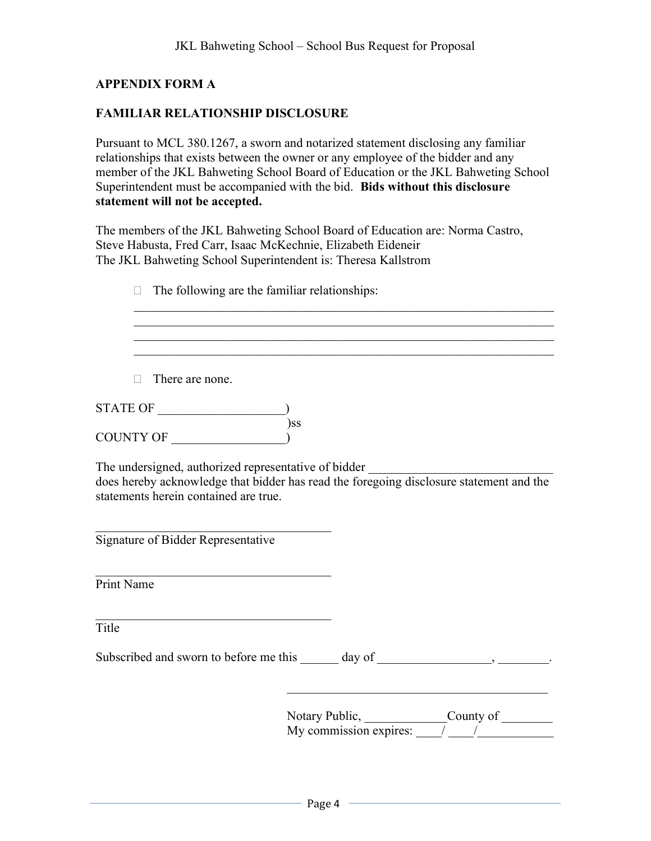## APPENDIX FORM A

## FAMILIAR RELATIONSHIP DISCLOSURE

Pursuant to MCL 380.1267, a sworn and notarized statement disclosing any familiar relationships that exists between the owner or any employee of the bidder and any member of the JKL Bahweting School Board of Education or the JKL Bahweting School Superintendent must be accompanied with the bid. Bids without this disclosure statement will not be accepted.

The members of the JKL Bahweting School Board of Education are: Norma Castro, Steve Habusta, Fred Carr, Isaac McKechnie, Elizabeth Eideneir The JKL Bahweting School Superintendent is: Theresa Kallstrom

| The following are the familiar relationships:                                                                                                                                            |  |                                                                                                                                                                                                                                                                                                                                                                                                                                     |  |
|------------------------------------------------------------------------------------------------------------------------------------------------------------------------------------------|--|-------------------------------------------------------------------------------------------------------------------------------------------------------------------------------------------------------------------------------------------------------------------------------------------------------------------------------------------------------------------------------------------------------------------------------------|--|
|                                                                                                                                                                                          |  |                                                                                                                                                                                                                                                                                                                                                                                                                                     |  |
| There are none.                                                                                                                                                                          |  |                                                                                                                                                                                                                                                                                                                                                                                                                                     |  |
| STATE OF                                                                                                                                                                                 |  |                                                                                                                                                                                                                                                                                                                                                                                                                                     |  |
| $)$ ss<br>COUNTY OF                                                                                                                                                                      |  |                                                                                                                                                                                                                                                                                                                                                                                                                                     |  |
| The undersigned, authorized representative of bidder<br>does hereby acknowledge that bidder has read the foregoing disclosure statement and the<br>statements herein contained are true. |  |                                                                                                                                                                                                                                                                                                                                                                                                                                     |  |
| Signature of Bidder Representative                                                                                                                                                       |  |                                                                                                                                                                                                                                                                                                                                                                                                                                     |  |
| Print Name                                                                                                                                                                               |  |                                                                                                                                                                                                                                                                                                                                                                                                                                     |  |
| Title                                                                                                                                                                                    |  |                                                                                                                                                                                                                                                                                                                                                                                                                                     |  |
|                                                                                                                                                                                          |  |                                                                                                                                                                                                                                                                                                                                                                                                                                     |  |
|                                                                                                                                                                                          |  | Notary Public, $\frac{\text{Country of}}{\text{My commission expires: } \frac{1}{\sqrt{1-\frac{1}{1-\frac{1}{1-\frac{1}{1-\frac{1}{1-\frac{1}{1-\frac{1}{1-\frac{1}{1-\frac{1}{1-\frac{1}{1-\frac{1}{1-\frac{1}{1-\frac{1}{1-\frac{1}{1-\frac{1}{1-\frac{1}{1-\frac{1}{1-\frac{1}{1-\frac{1}{1-\frac{1}{1-\frac{1}{1-\frac{1}{1-\frac{1}{1-\frac{1}{1-\frac{1}{1-\frac{1}{1-\frac{1}{1-\frac{1}{1-\frac{1}{1-\frac{1}{1-\frac{1}{1$ |  |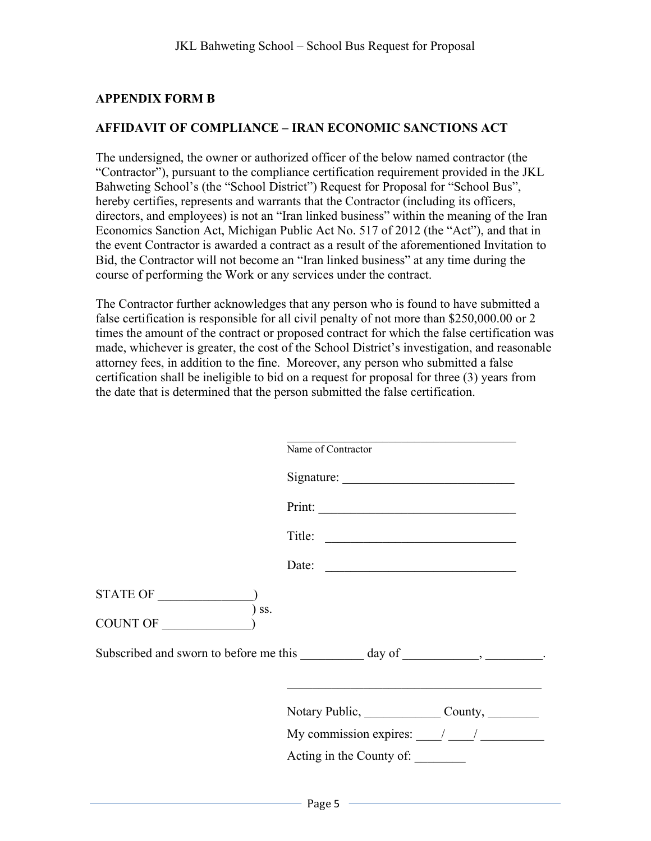## APPENDIX FORM B

### AFFIDAVIT OF COMPLIANCE – IRAN ECONOMIC SANCTIONS ACT

The undersigned, the owner or authorized officer of the below named contractor (the "Contractor"), pursuant to the compliance certification requirement provided in the JKL Bahweting School's (the "School District") Request for Proposal for "School Bus", hereby certifies, represents and warrants that the Contractor (including its officers, directors, and employees) is not an "Iran linked business" within the meaning of the Iran Economics Sanction Act, Michigan Public Act No. 517 of 2012 (the "Act"), and that in the event Contractor is awarded a contract as a result of the aforementioned Invitation to Bid, the Contractor will not become an "Iran linked business" at any time during the course of performing the Work or any services under the contract.

The Contractor further acknowledges that any person who is found to have submitted a false certification is responsible for all civil penalty of not more than \$250,000.00 or 2 times the amount of the contract or proposed contract for which the false certification was made, whichever is greater, the cost of the School District's investigation, and reasonable attorney fees, in addition to the fine. Moreover, any person who submitted a false certification shall be ineligible to bid on a request for proposal for three (3) years from the date that is determined that the person submitted the false certification.

 $\mathcal{L}_\text{max}$  , and the set of the set of the set of the set of the set of the set of the set of the set of the set of the set of the set of the set of the set of the set of the set of the set of the set of the set of the

|                     | Name of Contractor                                                                |
|---------------------|-----------------------------------------------------------------------------------|
|                     |                                                                                   |
|                     |                                                                                   |
|                     |                                                                                   |
|                     | Date:                                                                             |
| STATE OF<br>$)$ ss. |                                                                                   |
| COUNT OF            |                                                                                   |
|                     | Subscribed and sworn to before me this ___________ day of ______________________. |
|                     | Notary Public, County,                                                            |
|                     | My commission expires: $\frac{1}{\sqrt{1-\frac{1}{2}}}$                           |
|                     | Acting in the County of:                                                          |